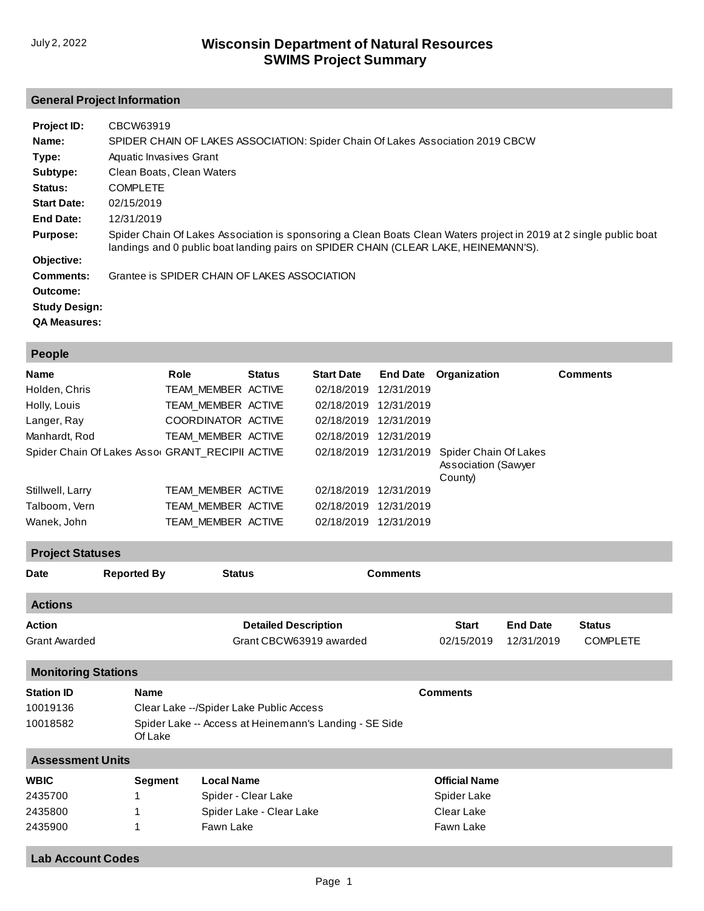# **General Project Information**

| Project ID:<br>Name:<br>Type:<br>Subtype: | CBCW63919<br>SPIDER CHAIN OF LAKES ASSOCIATION: Spider Chain Of Lakes Association 2019 CBCW<br>Aquatic Invasives Grant<br>Clean Boats, Clean Waters                                                       |
|-------------------------------------------|-----------------------------------------------------------------------------------------------------------------------------------------------------------------------------------------------------------|
| Status:                                   | <b>COMPLETE</b>                                                                                                                                                                                           |
| <b>Start Date:</b>                        | 02/15/2019                                                                                                                                                                                                |
| End Date:                                 | 12/31/2019                                                                                                                                                                                                |
| <b>Purpose:</b>                           | Spider Chain Of Lakes Association is sponsoring a Clean Boats Clean Waters project in 2019 at 2 single public boat<br>landings and 0 public boat landing pairs on SPIDER CHAIN (CLEAR LAKE, HEINEMANN'S). |
| Objective:                                |                                                                                                                                                                                                           |
| Comments:                                 | Grantee is SPIDER CHAIN OF LAKES ASSOCIATION                                                                                                                                                              |
| Outcome:                                  |                                                                                                                                                                                                           |
| <b>Study Design:</b>                      |                                                                                                                                                                                                           |
| <b>QA Measures:</b>                       |                                                                                                                                                                                                           |

| <b>People</b>                                    |                    |               |                   |                 |                                                                |                 |
|--------------------------------------------------|--------------------|---------------|-------------------|-----------------|----------------------------------------------------------------|-----------------|
| <b>Name</b>                                      | Role               | <b>Status</b> | <b>Start Date</b> | <b>End Date</b> | Organization                                                   | <b>Comments</b> |
| Holden, Chris                                    | TEAM MEMBER ACTIVE |               | 02/18/2019        | 12/31/2019      |                                                                |                 |
| Holly, Louis                                     | TEAM_MEMBER ACTIVE |               | 02/18/2019        | 12/31/2019      |                                                                |                 |
| Langer, Ray                                      | COORDINATOR ACTIVE |               | 02/18/2019        | 12/31/2019      |                                                                |                 |
| Manhardt, Rod                                    | TEAM MEMBER ACTIVE |               | 02/18/2019        | 12/31/2019      |                                                                |                 |
| Spider Chain Of Lakes Assor GRANT RECIPII ACTIVE |                    |               | 02/18/2019        | 12/31/2019      | Spider Chain Of Lakes<br><b>Association (Sawyer</b><br>County) |                 |
| Stillwell, Larry                                 | TEAM MEMBER ACTIVE |               | 02/18/2019        | 12/31/2019      |                                                                |                 |
| Talboom, Vern                                    | TEAM MEMBER ACTIVE |               | 02/18/2019        | 12/31/2019      |                                                                |                 |
| Wanek, John                                      | TEAM MEMBER ACTIVE |               | 02/18/2019        | 12/31/2019      |                                                                |                 |

| .                          |                                                                   |                                           |                 |                      |                 |                 |  |
|----------------------------|-------------------------------------------------------------------|-------------------------------------------|-----------------|----------------------|-----------------|-----------------|--|
| <b>Date</b>                | <b>Reported By</b>                                                | <b>Status</b>                             | <b>Comments</b> |                      |                 |                 |  |
| <b>Actions</b>             |                                                                   |                                           |                 |                      |                 |                 |  |
| Action                     |                                                                   | <b>Detailed Description</b>               |                 | <b>Start</b>         | <b>End Date</b> | <b>Status</b>   |  |
| <b>Grant Awarded</b>       |                                                                   | Grant CBCW63919 awarded                   |                 | 02/15/2019           | 12/31/2019      | <b>COMPLETE</b> |  |
| <b>Monitoring Stations</b> |                                                                   |                                           |                 |                      |                 |                 |  |
| <b>Station ID</b>          | <b>Name</b>                                                       |                                           |                 | <b>Comments</b>      |                 |                 |  |
| 10019136                   |                                                                   | Clear Lake -- / Spider Lake Public Access |                 |                      |                 |                 |  |
| 10018582                   | Spider Lake -- Access at Heinemann's Landing - SE Side<br>Of Lake |                                           |                 |                      |                 |                 |  |
| <b>Assessment Units</b>    |                                                                   |                                           |                 |                      |                 |                 |  |
| <b>WBIC</b>                | Segment                                                           | <b>Local Name</b>                         |                 | <b>Official Name</b> |                 |                 |  |
| 2435700                    |                                                                   | Spider - Clear Lake                       |                 | Spider Lake          |                 |                 |  |
| 2435800                    |                                                                   | Spider Lake - Clear Lake                  |                 | Clear Lake           |                 |                 |  |
| 2435900                    |                                                                   | Fawn Lake                                 |                 | Fawn Lake            |                 |                 |  |

#### **Lab Account Codes**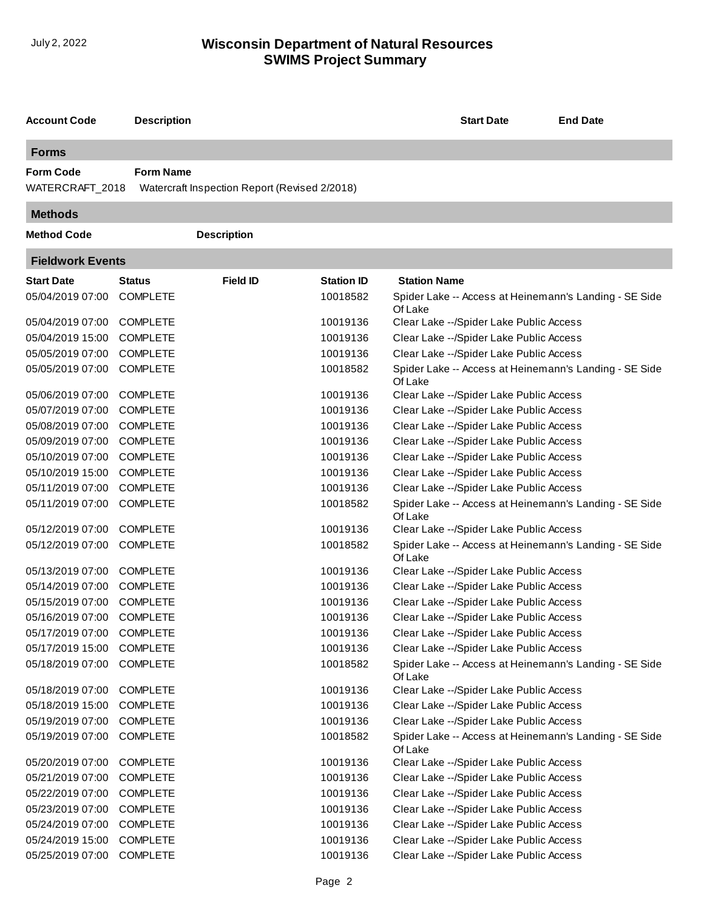| <b>Account Code</b>                 | <b>Description</b> |                                               |                   | <b>Start Date</b>                                                 | <b>End Date</b> |  |  |  |
|-------------------------------------|--------------------|-----------------------------------------------|-------------------|-------------------------------------------------------------------|-----------------|--|--|--|
| <b>Forms</b>                        |                    |                                               |                   |                                                                   |                 |  |  |  |
| <b>Form Code</b><br>WATERCRAFT_2018 | <b>Form Name</b>   | Watercraft Inspection Report (Revised 2/2018) |                   |                                                                   |                 |  |  |  |
| <b>Methods</b>                      |                    |                                               |                   |                                                                   |                 |  |  |  |
| <b>Method Code</b>                  |                    | <b>Description</b>                            |                   |                                                                   |                 |  |  |  |
| <b>Fieldwork Events</b>             |                    |                                               |                   |                                                                   |                 |  |  |  |
| <b>Start Date</b>                   | Status             | <b>Field ID</b>                               | <b>Station ID</b> | <b>Station Name</b>                                               |                 |  |  |  |
| 05/04/2019 07:00                    | <b>COMPLETE</b>    |                                               | 10018582          | Spider Lake -- Access at Heinemann's Landing - SE Side<br>Of Lake |                 |  |  |  |
| 05/04/2019 07:00                    | <b>COMPLETE</b>    |                                               | 10019136          | Clear Lake -- / Spider Lake Public Access                         |                 |  |  |  |
| 05/04/2019 15:00                    | <b>COMPLETE</b>    |                                               | 10019136          | Clear Lake -- / Spider Lake Public Access                         |                 |  |  |  |
| 05/05/2019 07:00                    | <b>COMPLETE</b>    |                                               | 10019136          | Clear Lake -- / Spider Lake Public Access                         |                 |  |  |  |
| 05/05/2019 07:00                    | <b>COMPLETE</b>    |                                               | 10018582          | Spider Lake -- Access at Heinemann's Landing - SE Side<br>Of Lake |                 |  |  |  |
| 05/06/2019 07:00                    | <b>COMPLETE</b>    |                                               | 10019136          | Clear Lake -- / Spider Lake Public Access                         |                 |  |  |  |
| 05/07/2019 07:00                    | <b>COMPLETE</b>    |                                               | 10019136          | Clear Lake -- / Spider Lake Public Access                         |                 |  |  |  |
| 05/08/2019 07:00                    | <b>COMPLETE</b>    |                                               | 10019136          | Clear Lake -- / Spider Lake Public Access                         |                 |  |  |  |
| 05/09/2019 07:00                    | <b>COMPLETE</b>    |                                               | 10019136          | Clear Lake -- / Spider Lake Public Access                         |                 |  |  |  |
| 05/10/2019 07:00                    | <b>COMPLETE</b>    |                                               | 10019136          | Clear Lake -- / Spider Lake Public Access                         |                 |  |  |  |
| 05/10/2019 15:00                    | <b>COMPLETE</b>    |                                               | 10019136          | Clear Lake -- / Spider Lake Public Access                         |                 |  |  |  |
| 05/11/2019 07:00                    | <b>COMPLETE</b>    |                                               | 10019136          | Clear Lake -- / Spider Lake Public Access                         |                 |  |  |  |
| 05/11/2019 07:00                    | <b>COMPLETE</b>    |                                               | 10018582          | Spider Lake -- Access at Heinemann's Landing - SE Side<br>Of Lake |                 |  |  |  |
| 05/12/2019 07:00                    | <b>COMPLETE</b>    |                                               | 10019136          | Clear Lake -- / Spider Lake Public Access                         |                 |  |  |  |
| 05/12/2019 07:00                    | <b>COMPLETE</b>    |                                               | 10018582          | Spider Lake -- Access at Heinemann's Landing - SE Side<br>Of Lake |                 |  |  |  |
| 05/13/2019 07:00                    | <b>COMPLETE</b>    |                                               | 10019136          | Clear Lake --/Spider Lake Public Access                           |                 |  |  |  |
| 05/14/2019 07:00                    | <b>COMPLETE</b>    |                                               | 10019136          | Clear Lake -- / Spider Lake Public Access                         |                 |  |  |  |
| 05/15/2019 07:00                    | <b>COMPLETE</b>    |                                               | 10019136          | Clear Lake -- / Spider Lake Public Access                         |                 |  |  |  |
| 05/16/2019 07:00                    | <b>COMPLETE</b>    |                                               | 10019136          | Clear Lake -- / Spider Lake Public Access                         |                 |  |  |  |
| 05/17/2019 07:00                    | <b>COMPLETE</b>    |                                               | 10019136          | Clear Lake -- / Spider Lake Public Access                         |                 |  |  |  |
| 05/17/2019 15:00                    | <b>COMPLETE</b>    |                                               | 10019136          | Clear Lake -- / Spider Lake Public Access                         |                 |  |  |  |
| 05/18/2019 07:00                    | <b>COMPLETE</b>    |                                               | 10018582          | Spider Lake -- Access at Heinemann's Landing - SE Side<br>Of Lake |                 |  |  |  |
| 05/18/2019 07:00                    | <b>COMPLETE</b>    |                                               | 10019136          | Clear Lake -- / Spider Lake Public Access                         |                 |  |  |  |
| 05/18/2019 15:00                    | <b>COMPLETE</b>    |                                               | 10019136          | Clear Lake -- / Spider Lake Public Access                         |                 |  |  |  |
| 05/19/2019 07:00                    | <b>COMPLETE</b>    |                                               | 10019136          | Clear Lake -- / Spider Lake Public Access                         |                 |  |  |  |
| 05/19/2019 07:00                    | <b>COMPLETE</b>    |                                               | 10018582          | Spider Lake -- Access at Heinemann's Landing - SE Side<br>Of Lake |                 |  |  |  |
| 05/20/2019 07:00                    | <b>COMPLETE</b>    |                                               | 10019136          | Clear Lake -- / Spider Lake Public Access                         |                 |  |  |  |
| 05/21/2019 07:00                    | <b>COMPLETE</b>    |                                               | 10019136          | Clear Lake -- / Spider Lake Public Access                         |                 |  |  |  |
| 05/22/2019 07:00                    | <b>COMPLETE</b>    |                                               | 10019136          | Clear Lake -- / Spider Lake Public Access                         |                 |  |  |  |
| 05/23/2019 07:00                    | <b>COMPLETE</b>    |                                               | 10019136          | Clear Lake -- / Spider Lake Public Access                         |                 |  |  |  |
| 05/24/2019 07:00                    | <b>COMPLETE</b>    |                                               | 10019136          | Clear Lake -- / Spider Lake Public Access                         |                 |  |  |  |
| 05/24/2019 15:00                    | <b>COMPLETE</b>    |                                               | 10019136          | Clear Lake -- / Spider Lake Public Access                         |                 |  |  |  |
| 05/25/2019 07:00                    | <b>COMPLETE</b>    |                                               | 10019136          | Clear Lake -- / Spider Lake Public Access                         |                 |  |  |  |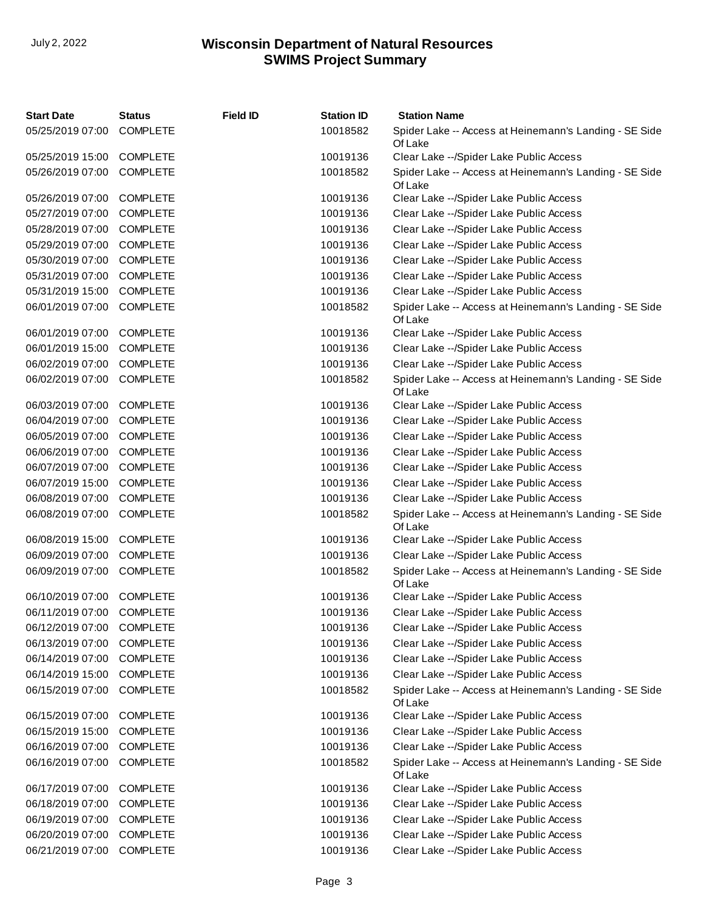| <b>Start Date</b> | <b>Status</b>   | <b>Field ID</b> | <b>Station ID</b> | <b>Station Name</b>                                               |
|-------------------|-----------------|-----------------|-------------------|-------------------------------------------------------------------|
| 05/25/2019 07:00  | <b>COMPLETE</b> |                 | 10018582          | Spider Lake -- Access at Heinemann's Landing - SE Side<br>Of Lake |
| 05/25/2019 15:00  | <b>COMPLETE</b> |                 | 10019136          | Clear Lake -- / Spider Lake Public Access                         |
| 05/26/2019 07:00  | <b>COMPLETE</b> |                 | 10018582          | Spider Lake -- Access at Heinemann's Landing - SE Side<br>Of Lake |
| 05/26/2019 07:00  | <b>COMPLETE</b> |                 | 10019136          | Clear Lake -- / Spider Lake Public Access                         |
| 05/27/2019 07:00  | <b>COMPLETE</b> |                 | 10019136          | Clear Lake -- / Spider Lake Public Access                         |
| 05/28/2019 07:00  | <b>COMPLETE</b> |                 | 10019136          | Clear Lake -- / Spider Lake Public Access                         |
| 05/29/2019 07:00  | <b>COMPLETE</b> |                 | 10019136          | Clear Lake --/Spider Lake Public Access                           |
| 05/30/2019 07:00  | <b>COMPLETE</b> |                 | 10019136          | Clear Lake -- / Spider Lake Public Access                         |
| 05/31/2019 07:00  | <b>COMPLETE</b> |                 | 10019136          | Clear Lake -- / Spider Lake Public Access                         |
| 05/31/2019 15:00  | <b>COMPLETE</b> |                 | 10019136          | Clear Lake -- / Spider Lake Public Access                         |
| 06/01/2019 07:00  | <b>COMPLETE</b> |                 | 10018582          | Spider Lake -- Access at Heinemann's Landing - SE Side<br>Of Lake |
| 06/01/2019 07:00  | <b>COMPLETE</b> |                 | 10019136          | Clear Lake -- / Spider Lake Public Access                         |
| 06/01/2019 15:00  | <b>COMPLETE</b> |                 | 10019136          | Clear Lake -- / Spider Lake Public Access                         |
| 06/02/2019 07:00  | <b>COMPLETE</b> |                 | 10019136          | Clear Lake -- / Spider Lake Public Access                         |
| 06/02/2019 07:00  | <b>COMPLETE</b> |                 | 10018582          | Spider Lake -- Access at Heinemann's Landing - SE Side<br>Of Lake |
| 06/03/2019 07:00  | <b>COMPLETE</b> |                 | 10019136          | Clear Lake -- / Spider Lake Public Access                         |
| 06/04/2019 07:00  | <b>COMPLETE</b> |                 | 10019136          | Clear Lake --/Spider Lake Public Access                           |
| 06/05/2019 07:00  | <b>COMPLETE</b> |                 | 10019136          | Clear Lake -- / Spider Lake Public Access                         |
| 06/06/2019 07:00  | <b>COMPLETE</b> |                 | 10019136          | Clear Lake --/Spider Lake Public Access                           |
| 06/07/2019 07:00  | <b>COMPLETE</b> |                 | 10019136          | Clear Lake -- / Spider Lake Public Access                         |
| 06/07/2019 15:00  | <b>COMPLETE</b> |                 | 10019136          | Clear Lake -- / Spider Lake Public Access                         |
| 06/08/2019 07:00  | <b>COMPLETE</b> |                 | 10019136          | Clear Lake -- / Spider Lake Public Access                         |
| 06/08/2019 07:00  | <b>COMPLETE</b> |                 | 10018582          | Spider Lake -- Access at Heinemann's Landing - SE Side<br>Of Lake |
| 06/08/2019 15:00  | <b>COMPLETE</b> |                 | 10019136          | Clear Lake -- / Spider Lake Public Access                         |
| 06/09/2019 07:00  | <b>COMPLETE</b> |                 | 10019136          | Clear Lake --/Spider Lake Public Access                           |
| 06/09/2019 07:00  | <b>COMPLETE</b> |                 | 10018582          | Spider Lake -- Access at Heinemann's Landing - SE Side<br>Of Lake |
| 06/10/2019 07:00  | <b>COMPLETE</b> |                 | 10019136          | Clear Lake --/Spider Lake Public Access                           |
| 06/11/2019 07:00  | <b>COMPLETE</b> |                 | 10019136          | Clear Lake -- / Spider Lake Public Access                         |
| 06/12/2019 07:00  | <b>COMPLETE</b> |                 | 10019136          | Clear Lake -- / Spider Lake Public Access                         |
| 06/13/2019 07:00  | <b>COMPLETE</b> |                 | 10019136          | Clear Lake -- / Spider Lake Public Access                         |
| 06/14/2019 07:00  | <b>COMPLETE</b> |                 | 10019136          | Clear Lake -- / Spider Lake Public Access                         |
| 06/14/2019 15:00  | <b>COMPLETE</b> |                 | 10019136          | Clear Lake -- / Spider Lake Public Access                         |
| 06/15/2019 07:00  | <b>COMPLETE</b> |                 | 10018582          | Spider Lake -- Access at Heinemann's Landing - SE Side<br>Of Lake |
| 06/15/2019 07:00  | <b>COMPLETE</b> |                 | 10019136          | Clear Lake -- / Spider Lake Public Access                         |
| 06/15/2019 15:00  | <b>COMPLETE</b> |                 | 10019136          | Clear Lake -- / Spider Lake Public Access                         |
| 06/16/2019 07:00  | <b>COMPLETE</b> |                 | 10019136          | Clear Lake -- / Spider Lake Public Access                         |
| 06/16/2019 07:00  | <b>COMPLETE</b> |                 | 10018582          | Spider Lake -- Access at Heinemann's Landing - SE Side<br>Of Lake |
| 06/17/2019 07:00  | <b>COMPLETE</b> |                 | 10019136          | Clear Lake -- / Spider Lake Public Access                         |
| 06/18/2019 07:00  | <b>COMPLETE</b> |                 | 10019136          | Clear Lake --/Spider Lake Public Access                           |
| 06/19/2019 07:00  | <b>COMPLETE</b> |                 | 10019136          | Clear Lake -- / Spider Lake Public Access                         |
| 06/20/2019 07:00  | <b>COMPLETE</b> |                 | 10019136          | Clear Lake -- / Spider Lake Public Access                         |
| 06/21/2019 07:00  | <b>COMPLETE</b> |                 | 10019136          | Clear Lake -- / Spider Lake Public Access                         |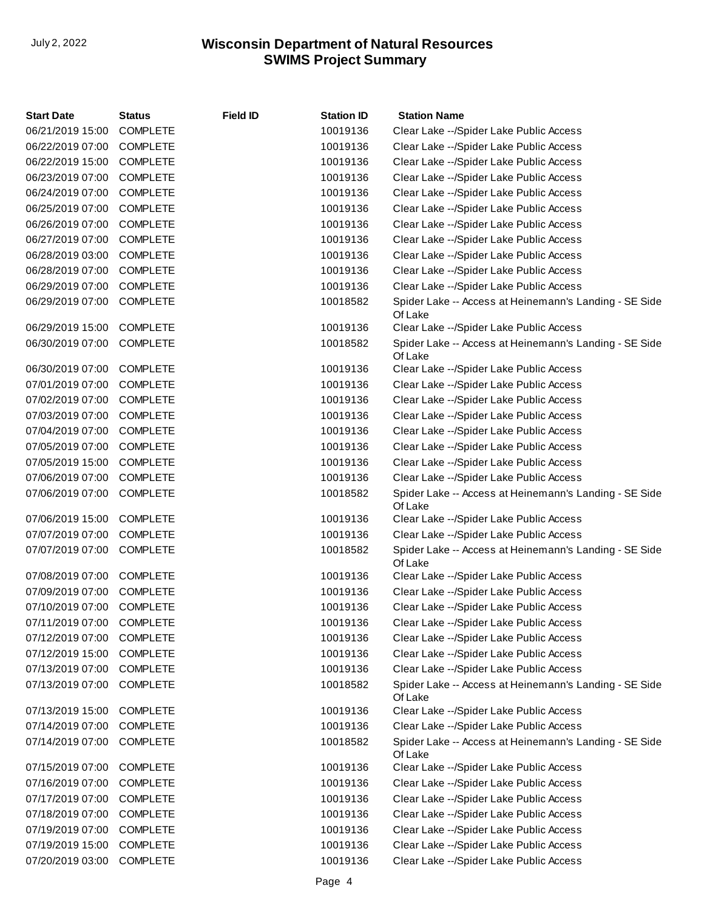| <b>Start Date</b> | <b>Status</b>   | <b>Field ID</b> | <b>Station ID</b> | <b>Station Name</b>                                               |
|-------------------|-----------------|-----------------|-------------------|-------------------------------------------------------------------|
| 06/21/2019 15:00  | <b>COMPLETE</b> |                 | 10019136          | Clear Lake -- / Spider Lake Public Access                         |
| 06/22/2019 07:00  | <b>COMPLETE</b> |                 | 10019136          | Clear Lake -- / Spider Lake Public Access                         |
| 06/22/2019 15:00  | <b>COMPLETE</b> |                 | 10019136          | Clear Lake -- / Spider Lake Public Access                         |
| 06/23/2019 07:00  | <b>COMPLETE</b> |                 | 10019136          | Clear Lake -- / Spider Lake Public Access                         |
| 06/24/2019 07:00  | <b>COMPLETE</b> |                 | 10019136          | Clear Lake -- / Spider Lake Public Access                         |
| 06/25/2019 07:00  | <b>COMPLETE</b> |                 | 10019136          | Clear Lake -- / Spider Lake Public Access                         |
| 06/26/2019 07:00  | <b>COMPLETE</b> |                 | 10019136          | Clear Lake -- / Spider Lake Public Access                         |
| 06/27/2019 07:00  | <b>COMPLETE</b> |                 | 10019136          | Clear Lake -- / Spider Lake Public Access                         |
| 06/28/2019 03:00  | <b>COMPLETE</b> |                 | 10019136          | Clear Lake -- / Spider Lake Public Access                         |
| 06/28/2019 07:00  | <b>COMPLETE</b> |                 | 10019136          | Clear Lake -- / Spider Lake Public Access                         |
| 06/29/2019 07:00  | <b>COMPLETE</b> |                 | 10019136          | Clear Lake -- / Spider Lake Public Access                         |
| 06/29/2019 07:00  | <b>COMPLETE</b> |                 | 10018582          | Spider Lake -- Access at Heinemann's Landing - SE Side<br>Of Lake |
| 06/29/2019 15:00  | <b>COMPLETE</b> |                 | 10019136          | Clear Lake -- / Spider Lake Public Access                         |
| 06/30/2019 07:00  | <b>COMPLETE</b> |                 | 10018582          | Spider Lake -- Access at Heinemann's Landing - SE Side<br>Of Lake |
| 06/30/2019 07:00  | <b>COMPLETE</b> |                 | 10019136          | Clear Lake -- / Spider Lake Public Access                         |
| 07/01/2019 07:00  | <b>COMPLETE</b> |                 | 10019136          | Clear Lake -- / Spider Lake Public Access                         |
| 07/02/2019 07:00  | <b>COMPLETE</b> |                 | 10019136          | Clear Lake -- / Spider Lake Public Access                         |
| 07/03/2019 07:00  | <b>COMPLETE</b> |                 | 10019136          | Clear Lake -- / Spider Lake Public Access                         |
| 07/04/2019 07:00  | <b>COMPLETE</b> |                 | 10019136          | Clear Lake -- / Spider Lake Public Access                         |
| 07/05/2019 07:00  | <b>COMPLETE</b> |                 | 10019136          | Clear Lake -- / Spider Lake Public Access                         |
| 07/05/2019 15:00  | <b>COMPLETE</b> |                 | 10019136          | Clear Lake -- / Spider Lake Public Access                         |
| 07/06/2019 07:00  | <b>COMPLETE</b> |                 | 10019136          | Clear Lake -- / Spider Lake Public Access                         |
| 07/06/2019 07:00  | <b>COMPLETE</b> |                 | 10018582          | Spider Lake -- Access at Heinemann's Landing - SE Side<br>Of Lake |
| 07/06/2019 15:00  | <b>COMPLETE</b> |                 | 10019136          | Clear Lake -- / Spider Lake Public Access                         |
| 07/07/2019 07:00  | <b>COMPLETE</b> |                 | 10019136          | Clear Lake -- / Spider Lake Public Access                         |
| 07/07/2019 07:00  | <b>COMPLETE</b> |                 | 10018582          | Spider Lake -- Access at Heinemann's Landing - SE Side<br>Of Lake |
| 07/08/2019 07:00  | <b>COMPLETE</b> |                 | 10019136          | Clear Lake -- / Spider Lake Public Access                         |
| 07/09/2019 07:00  | <b>COMPLETE</b> |                 | 10019136          | Clear Lake -- / Spider Lake Public Access                         |
| 07/10/2019 07:00  | <b>COMPLETE</b> |                 | 10019136          | Clear Lake -- / Spider Lake Public Access                         |
| 07/11/2019 07:00  | <b>COMPLETE</b> |                 | 10019136          | Clear Lake -- / Spider Lake Public Access                         |
| 07/12/2019 07:00  | <b>COMPLETE</b> |                 | 10019136          | Clear Lake -- / Spider Lake Public Access                         |
| 07/12/2019 15:00  | <b>COMPLETE</b> |                 | 10019136          | Clear Lake -- / Spider Lake Public Access                         |
| 07/13/2019 07:00  | <b>COMPLETE</b> |                 | 10019136          | Clear Lake -- / Spider Lake Public Access                         |
| 07/13/2019 07:00  | <b>COMPLETE</b> |                 | 10018582          | Spider Lake -- Access at Heinemann's Landing - SE Side<br>Of Lake |
| 07/13/2019 15:00  | <b>COMPLETE</b> |                 | 10019136          | Clear Lake -- / Spider Lake Public Access                         |
| 07/14/2019 07:00  | <b>COMPLETE</b> |                 | 10019136          | Clear Lake -- / Spider Lake Public Access                         |
| 07/14/2019 07:00  | <b>COMPLETE</b> |                 | 10018582          | Spider Lake -- Access at Heinemann's Landing - SE Side<br>Of Lake |
| 07/15/2019 07:00  | <b>COMPLETE</b> |                 | 10019136          | Clear Lake -- / Spider Lake Public Access                         |
| 07/16/2019 07:00  | <b>COMPLETE</b> |                 | 10019136          | Clear Lake -- / Spider Lake Public Access                         |
| 07/17/2019 07:00  | <b>COMPLETE</b> |                 | 10019136          | Clear Lake -- / Spider Lake Public Access                         |
| 07/18/2019 07:00  | <b>COMPLETE</b> |                 | 10019136          | Clear Lake -- / Spider Lake Public Access                         |
| 07/19/2019 07:00  | <b>COMPLETE</b> |                 | 10019136          | Clear Lake -- / Spider Lake Public Access                         |
| 07/19/2019 15:00  | <b>COMPLETE</b> |                 | 10019136          | Clear Lake -- / Spider Lake Public Access                         |
| 07/20/2019 03:00  | <b>COMPLETE</b> |                 | 10019136          | Clear Lake -- / Spider Lake Public Access                         |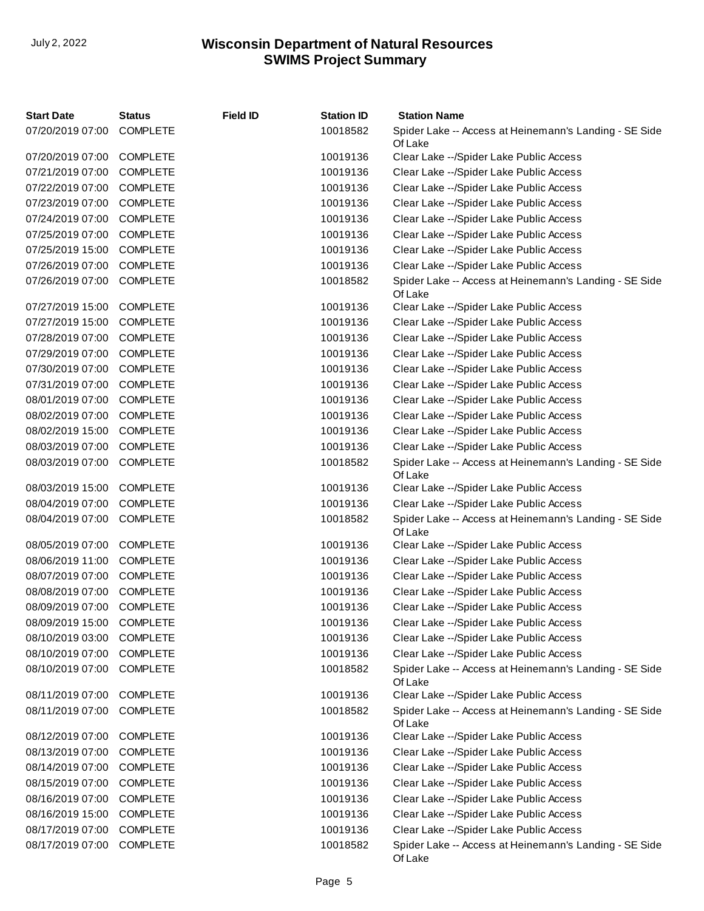| <b>Start Date</b>         | <b>Status</b>   | <b>Field ID</b> | <b>Station ID</b> | <b>Station Name</b>                                               |
|---------------------------|-----------------|-----------------|-------------------|-------------------------------------------------------------------|
| 07/20/2019 07:00          | <b>COMPLETE</b> |                 | 10018582          | Spider Lake -- Access at Heinemann's Landing - SE Side<br>Of Lake |
| 07/20/2019 07:00          | <b>COMPLETE</b> |                 | 10019136          | Clear Lake -- / Spider Lake Public Access                         |
| 07/21/2019 07:00          | <b>COMPLETE</b> |                 | 10019136          | Clear Lake -- / Spider Lake Public Access                         |
| 07/22/2019 07:00          | <b>COMPLETE</b> |                 | 10019136          | Clear Lake -- / Spider Lake Public Access                         |
| 07/23/2019 07:00          | <b>COMPLETE</b> |                 | 10019136          | Clear Lake --/Spider Lake Public Access                           |
| 07/24/2019 07:00          | <b>COMPLETE</b> |                 | 10019136          | Clear Lake -- / Spider Lake Public Access                         |
| 07/25/2019 07:00          | <b>COMPLETE</b> |                 | 10019136          | Clear Lake -- / Spider Lake Public Access                         |
| 07/25/2019 15:00          | <b>COMPLETE</b> |                 | 10019136          | Clear Lake -- / Spider Lake Public Access                         |
| 07/26/2019 07:00          | <b>COMPLETE</b> |                 | 10019136          | Clear Lake -- / Spider Lake Public Access                         |
| 07/26/2019 07:00          | COMPLETE        |                 | 10018582          | Spider Lake -- Access at Heinemann's Landing - SE Side<br>Of Lake |
| 07/27/2019 15:00          | <b>COMPLETE</b> |                 | 10019136          | Clear Lake -- / Spider Lake Public Access                         |
| 07/27/2019 15:00          | <b>COMPLETE</b> |                 | 10019136          | Clear Lake -- / Spider Lake Public Access                         |
| 07/28/2019 07:00          | <b>COMPLETE</b> |                 | 10019136          | Clear Lake -- / Spider Lake Public Access                         |
| 07/29/2019 07:00          | <b>COMPLETE</b> |                 | 10019136          | Clear Lake -- / Spider Lake Public Access                         |
| 07/30/2019 07:00          | <b>COMPLETE</b> |                 | 10019136          | Clear Lake --/Spider Lake Public Access                           |
| 07/31/2019 07:00          | <b>COMPLETE</b> |                 | 10019136          | Clear Lake -- / Spider Lake Public Access                         |
| 08/01/2019 07:00          | <b>COMPLETE</b> |                 | 10019136          | Clear Lake -- / Spider Lake Public Access                         |
| 08/02/2019 07:00          | <b>COMPLETE</b> |                 | 10019136          | Clear Lake -- / Spider Lake Public Access                         |
| 08/02/2019 15:00          | <b>COMPLETE</b> |                 | 10019136          | Clear Lake -- / Spider Lake Public Access                         |
| 08/03/2019 07:00          | <b>COMPLETE</b> |                 | 10019136          | Clear Lake -- / Spider Lake Public Access                         |
| 08/03/2019 07:00          | <b>COMPLETE</b> |                 | 10018582          | Spider Lake -- Access at Heinemann's Landing - SE Side<br>Of Lake |
| 08/03/2019 15:00          | <b>COMPLETE</b> |                 | 10019136          | Clear Lake -- / Spider Lake Public Access                         |
| 08/04/2019 07:00          | <b>COMPLETE</b> |                 | 10019136          | Clear Lake -- / Spider Lake Public Access                         |
| 08/04/2019 07:00          | <b>COMPLETE</b> |                 | 10018582          | Spider Lake -- Access at Heinemann's Landing - SE Side<br>Of Lake |
| 08/05/2019 07:00          | <b>COMPLETE</b> |                 | 10019136          | Clear Lake -- / Spider Lake Public Access                         |
| 08/06/2019 11:00          | <b>COMPLETE</b> |                 | 10019136          | Clear Lake -- / Spider Lake Public Access                         |
| 08/07/2019 07:00          | <b>COMPLETE</b> |                 | 10019136          | Clear Lake --/Spider Lake Public Access                           |
| 08/08/2019 07:00          | <b>COMPLETE</b> |                 | 10019136          | Clear Lake -- / Spider Lake Public Access                         |
| 08/09/2019 07:00          | <b>COMPLETE</b> |                 | 10019136          | Clear Lake -- / Spider Lake Public Access                         |
| 08/09/2019 15:00 COMPLETE |                 |                 | 10019136          | Clear Lake -- / Spider Lake Public Access                         |
| 08/10/2019 03:00          | <b>COMPLETE</b> |                 | 10019136          | Clear Lake -- / Spider Lake Public Access                         |
| 08/10/2019 07:00          | <b>COMPLETE</b> |                 | 10019136          | Clear Lake -- / Spider Lake Public Access                         |
| 08/10/2019 07:00          | <b>COMPLETE</b> |                 | 10018582          | Spider Lake -- Access at Heinemann's Landing - SE Side<br>Of Lake |
| 08/11/2019 07:00          | <b>COMPLETE</b> |                 | 10019136          | Clear Lake -- / Spider Lake Public Access                         |
| 08/11/2019 07:00          | <b>COMPLETE</b> |                 | 10018582          | Spider Lake -- Access at Heinemann's Landing - SE Side<br>Of Lake |
| 08/12/2019 07:00          | <b>COMPLETE</b> |                 | 10019136          | Clear Lake -- / Spider Lake Public Access                         |
| 08/13/2019 07:00          | <b>COMPLETE</b> |                 | 10019136          | Clear Lake -- / Spider Lake Public Access                         |
| 08/14/2019 07:00          | <b>COMPLETE</b> |                 | 10019136          | Clear Lake -- / Spider Lake Public Access                         |
| 08/15/2019 07:00          | <b>COMPLETE</b> |                 | 10019136          | Clear Lake -- / Spider Lake Public Access                         |
| 08/16/2019 07:00          | <b>COMPLETE</b> |                 | 10019136          | Clear Lake -- / Spider Lake Public Access                         |
| 08/16/2019 15:00          | <b>COMPLETE</b> |                 | 10019136          | Clear Lake -- / Spider Lake Public Access                         |
| 08/17/2019 07:00          | <b>COMPLETE</b> |                 | 10019136          | Clear Lake -- / Spider Lake Public Access                         |
| 08/17/2019 07:00          | <b>COMPLETE</b> |                 | 10018582          | Spider Lake -- Access at Heinemann's Landing - SE Side<br>Of Lake |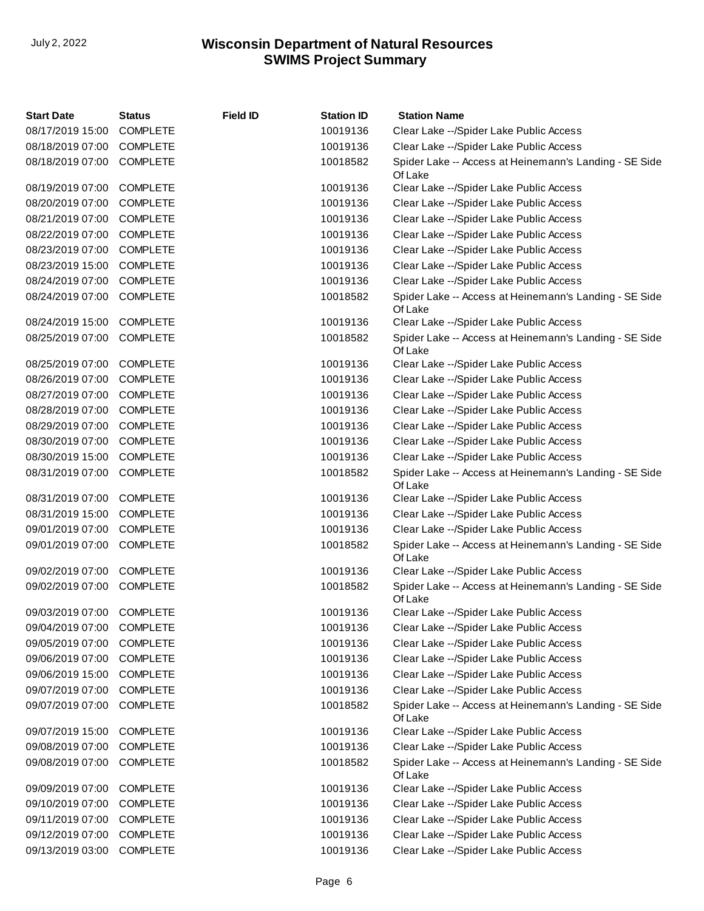| <b>Start Date</b> | <b>Status</b>   | <b>Field ID</b> | <b>Station ID</b> | <b>Station Name</b>                                               |
|-------------------|-----------------|-----------------|-------------------|-------------------------------------------------------------------|
| 08/17/2019 15:00  | <b>COMPLETE</b> |                 | 10019136          | Clear Lake -- / Spider Lake Public Access                         |
| 08/18/2019 07:00  | <b>COMPLETE</b> |                 | 10019136          | Clear Lake -- / Spider Lake Public Access                         |
| 08/18/2019 07:00  | <b>COMPLETE</b> |                 | 10018582          | Spider Lake -- Access at Heinemann's Landing - SE Side<br>Of Lake |
| 08/19/2019 07:00  | <b>COMPLETE</b> |                 | 10019136          | Clear Lake -- / Spider Lake Public Access                         |
| 08/20/2019 07:00  | <b>COMPLETE</b> |                 | 10019136          | Clear Lake -- / Spider Lake Public Access                         |
| 08/21/2019 07:00  | <b>COMPLETE</b> |                 | 10019136          | Clear Lake -- / Spider Lake Public Access                         |
| 08/22/2019 07:00  | <b>COMPLETE</b> |                 | 10019136          | Clear Lake -- / Spider Lake Public Access                         |
| 08/23/2019 07:00  | <b>COMPLETE</b> |                 | 10019136          | Clear Lake -- / Spider Lake Public Access                         |
| 08/23/2019 15:00  | <b>COMPLETE</b> |                 | 10019136          | Clear Lake -- / Spider Lake Public Access                         |
| 08/24/2019 07:00  | <b>COMPLETE</b> |                 | 10019136          | Clear Lake -- / Spider Lake Public Access                         |
| 08/24/2019 07:00  | <b>COMPLETE</b> |                 | 10018582          | Spider Lake -- Access at Heinemann's Landing - SE Side<br>Of Lake |
| 08/24/2019 15:00  | <b>COMPLETE</b> |                 | 10019136          | Clear Lake -- / Spider Lake Public Access                         |
| 08/25/2019 07:00  | <b>COMPLETE</b> |                 | 10018582          | Spider Lake -- Access at Heinemann's Landing - SE Side<br>Of Lake |
| 08/25/2019 07:00  | <b>COMPLETE</b> |                 | 10019136          | Clear Lake -- / Spider Lake Public Access                         |
| 08/26/2019 07:00  | <b>COMPLETE</b> |                 | 10019136          | Clear Lake -- / Spider Lake Public Access                         |
| 08/27/2019 07:00  | <b>COMPLETE</b> |                 | 10019136          | Clear Lake -- / Spider Lake Public Access                         |
| 08/28/2019 07:00  | <b>COMPLETE</b> |                 | 10019136          | Clear Lake -- / Spider Lake Public Access                         |
| 08/29/2019 07:00  | <b>COMPLETE</b> |                 | 10019136          | Clear Lake -- / Spider Lake Public Access                         |
| 08/30/2019 07:00  | <b>COMPLETE</b> |                 | 10019136          | Clear Lake -- / Spider Lake Public Access                         |
| 08/30/2019 15:00  | <b>COMPLETE</b> |                 | 10019136          | Clear Lake -- / Spider Lake Public Access                         |
| 08/31/2019 07:00  | <b>COMPLETE</b> |                 | 10018582          | Spider Lake -- Access at Heinemann's Landing - SE Side<br>Of Lake |
| 08/31/2019 07:00  | <b>COMPLETE</b> |                 | 10019136          | Clear Lake -- / Spider Lake Public Access                         |
| 08/31/2019 15:00  | <b>COMPLETE</b> |                 | 10019136          | Clear Lake -- / Spider Lake Public Access                         |
| 09/01/2019 07:00  | <b>COMPLETE</b> |                 | 10019136          | Clear Lake -- / Spider Lake Public Access                         |
| 09/01/2019 07:00  | <b>COMPLETE</b> |                 | 10018582          | Spider Lake -- Access at Heinemann's Landing - SE Side<br>Of Lake |
| 09/02/2019 07:00  | <b>COMPLETE</b> |                 | 10019136          | Clear Lake -- / Spider Lake Public Access                         |
| 09/02/2019 07:00  | <b>COMPLETE</b> |                 | 10018582          | Spider Lake -- Access at Heinemann's Landing - SE Side<br>Of Lake |
| 09/03/2019 07:00  | <b>COMPLETE</b> |                 | 10019136          | Clear Lake -- / Spider Lake Public Access                         |
| 09/04/2019 07:00  | <b>COMPLETE</b> |                 | 10019136          | Clear Lake -- / Spider Lake Public Access                         |
| 09/05/2019 07:00  | <b>COMPLETE</b> |                 | 10019136          | Clear Lake -- / Spider Lake Public Access                         |
| 09/06/2019 07:00  | <b>COMPLETE</b> |                 | 10019136          | Clear Lake -- / Spider Lake Public Access                         |
| 09/06/2019 15:00  | <b>COMPLETE</b> |                 | 10019136          | Clear Lake -- / Spider Lake Public Access                         |
| 09/07/2019 07:00  | <b>COMPLETE</b> |                 | 10019136          | Clear Lake -- / Spider Lake Public Access                         |
| 09/07/2019 07:00  | <b>COMPLETE</b> |                 | 10018582          | Spider Lake -- Access at Heinemann's Landing - SE Side<br>Of Lake |
| 09/07/2019 15:00  | <b>COMPLETE</b> |                 | 10019136          | Clear Lake -- / Spider Lake Public Access                         |
| 09/08/2019 07:00  | <b>COMPLETE</b> |                 | 10019136          | Clear Lake -- / Spider Lake Public Access                         |
| 09/08/2019 07:00  | <b>COMPLETE</b> |                 | 10018582          | Spider Lake -- Access at Heinemann's Landing - SE Side<br>Of Lake |
| 09/09/2019 07:00  | <b>COMPLETE</b> |                 | 10019136          | Clear Lake -- / Spider Lake Public Access                         |
| 09/10/2019 07:00  | <b>COMPLETE</b> |                 | 10019136          | Clear Lake -- / Spider Lake Public Access                         |
| 09/11/2019 07:00  | <b>COMPLETE</b> |                 | 10019136          | Clear Lake -- / Spider Lake Public Access                         |
| 09/12/2019 07:00  | <b>COMPLETE</b> |                 | 10019136          | Clear Lake -- / Spider Lake Public Access                         |
| 09/13/2019 03:00  | <b>COMPLETE</b> |                 | 10019136          | Clear Lake -- / Spider Lake Public Access                         |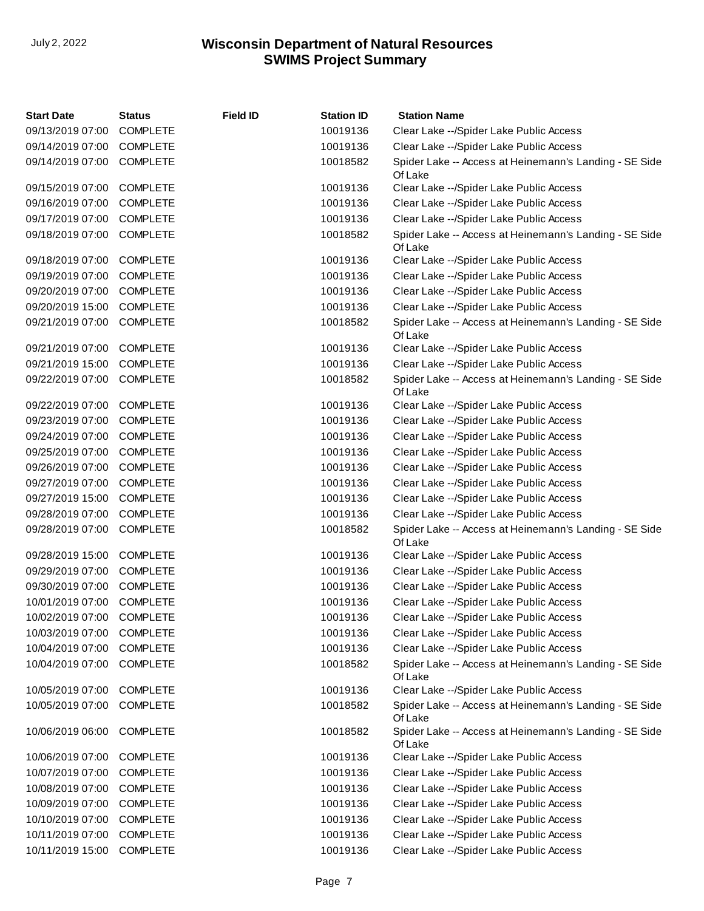| <b>Start Date</b> | <b>Status</b>   | <b>Field ID</b> | <b>Station ID</b> | <b>Station Name</b>                                               |
|-------------------|-----------------|-----------------|-------------------|-------------------------------------------------------------------|
| 09/13/2019 07:00  | <b>COMPLETE</b> |                 | 10019136          | Clear Lake -- / Spider Lake Public Access                         |
| 09/14/2019 07:00  | <b>COMPLETE</b> |                 | 10019136          | Clear Lake -- / Spider Lake Public Access                         |
| 09/14/2019 07:00  | <b>COMPLETE</b> |                 | 10018582          | Spider Lake -- Access at Heinemann's Landing - SE Side<br>Of Lake |
| 09/15/2019 07:00  | <b>COMPLETE</b> |                 | 10019136          | Clear Lake -- / Spider Lake Public Access                         |
| 09/16/2019 07:00  | <b>COMPLETE</b> |                 | 10019136          | Clear Lake -- / Spider Lake Public Access                         |
| 09/17/2019 07:00  | <b>COMPLETE</b> |                 | 10019136          | Clear Lake -- / Spider Lake Public Access                         |
| 09/18/2019 07:00  | <b>COMPLETE</b> |                 | 10018582          | Spider Lake -- Access at Heinemann's Landing - SE Side<br>Of Lake |
| 09/18/2019 07:00  | <b>COMPLETE</b> |                 | 10019136          | Clear Lake -- / Spider Lake Public Access                         |
| 09/19/2019 07:00  | <b>COMPLETE</b> |                 | 10019136          | Clear Lake -- / Spider Lake Public Access                         |
| 09/20/2019 07:00  | <b>COMPLETE</b> |                 | 10019136          | Clear Lake -- / Spider Lake Public Access                         |
| 09/20/2019 15:00  | <b>COMPLETE</b> |                 | 10019136          | Clear Lake -- / Spider Lake Public Access                         |
| 09/21/2019 07:00  | <b>COMPLETE</b> |                 | 10018582          | Spider Lake -- Access at Heinemann's Landing - SE Side<br>Of Lake |
| 09/21/2019 07:00  | <b>COMPLETE</b> |                 | 10019136          | Clear Lake -- / Spider Lake Public Access                         |
| 09/21/2019 15:00  | <b>COMPLETE</b> |                 | 10019136          | Clear Lake -- / Spider Lake Public Access                         |
| 09/22/2019 07:00  | <b>COMPLETE</b> |                 | 10018582          | Spider Lake -- Access at Heinemann's Landing - SE Side<br>Of Lake |
| 09/22/2019 07:00  | <b>COMPLETE</b> |                 | 10019136          | Clear Lake -- / Spider Lake Public Access                         |
| 09/23/2019 07:00  | <b>COMPLETE</b> |                 | 10019136          | Clear Lake -- / Spider Lake Public Access                         |
| 09/24/2019 07:00  | <b>COMPLETE</b> |                 | 10019136          | Clear Lake -- / Spider Lake Public Access                         |
| 09/25/2019 07:00  | <b>COMPLETE</b> |                 | 10019136          | Clear Lake -- / Spider Lake Public Access                         |
| 09/26/2019 07:00  | <b>COMPLETE</b> |                 | 10019136          | Clear Lake -- / Spider Lake Public Access                         |
| 09/27/2019 07:00  | <b>COMPLETE</b> |                 | 10019136          | Clear Lake -- / Spider Lake Public Access                         |
| 09/27/2019 15:00  | <b>COMPLETE</b> |                 | 10019136          | Clear Lake -- / Spider Lake Public Access                         |
| 09/28/2019 07:00  | <b>COMPLETE</b> |                 | 10019136          | Clear Lake -- / Spider Lake Public Access                         |
| 09/28/2019 07:00  | <b>COMPLETE</b> |                 | 10018582          | Spider Lake -- Access at Heinemann's Landing - SE Side<br>Of Lake |
| 09/28/2019 15:00  | <b>COMPLETE</b> |                 | 10019136          | Clear Lake -- / Spider Lake Public Access                         |
| 09/29/2019 07:00  | <b>COMPLETE</b> |                 | 10019136          | Clear Lake -- / Spider Lake Public Access                         |
| 09/30/2019 07:00  | <b>COMPLETE</b> |                 | 10019136          | Clear Lake -- / Spider Lake Public Access                         |
| 10/01/2019 07:00  | <b>COMPLETE</b> |                 | 10019136          | Clear Lake -- / Spider Lake Public Access                         |
| 10/02/2019 07:00  | <b>COMPLETE</b> |                 | 10019136          | Clear Lake -- / Spider Lake Public Access                         |
| 10/03/2019 07:00  | <b>COMPLETE</b> |                 | 10019136          | Clear Lake -- / Spider Lake Public Access                         |
| 10/04/2019 07:00  | <b>COMPLETE</b> |                 | 10019136          | Clear Lake -- / Spider Lake Public Access                         |
| 10/04/2019 07:00  | <b>COMPLETE</b> |                 | 10018582          | Spider Lake -- Access at Heinemann's Landing - SE Side<br>Of Lake |
| 10/05/2019 07:00  | <b>COMPLETE</b> |                 | 10019136          | Clear Lake -- / Spider Lake Public Access                         |
| 10/05/2019 07:00  | <b>COMPLETE</b> |                 | 10018582          | Spider Lake -- Access at Heinemann's Landing - SE Side<br>Of Lake |
| 10/06/2019 06:00  | <b>COMPLETE</b> |                 | 10018582          | Spider Lake -- Access at Heinemann's Landing - SE Side<br>Of Lake |
| 10/06/2019 07:00  | <b>COMPLETE</b> |                 | 10019136          | Clear Lake -- / Spider Lake Public Access                         |
| 10/07/2019 07:00  | <b>COMPLETE</b> |                 | 10019136          | Clear Lake -- / Spider Lake Public Access                         |
| 10/08/2019 07:00  | <b>COMPLETE</b> |                 | 10019136          | Clear Lake -- / Spider Lake Public Access                         |
| 10/09/2019 07:00  | <b>COMPLETE</b> |                 | 10019136          | Clear Lake -- / Spider Lake Public Access                         |
| 10/10/2019 07:00  | <b>COMPLETE</b> |                 | 10019136          | Clear Lake -- / Spider Lake Public Access                         |
| 10/11/2019 07:00  | <b>COMPLETE</b> |                 | 10019136          | Clear Lake -- / Spider Lake Public Access                         |
| 10/11/2019 15:00  | <b>COMPLETE</b> |                 | 10019136          | Clear Lake -- / Spider Lake Public Access                         |